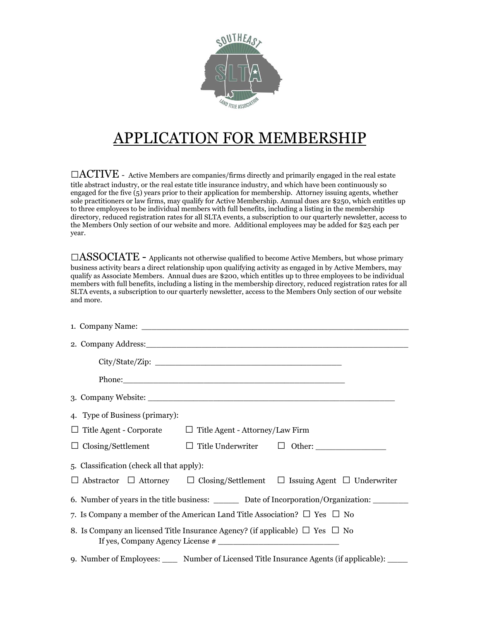

## APPLICATION FOR MEMBERSHIP

 $\Box$ ACTIVE - Active Members are companies/firms directly and primarily engaged in the real estate title abstract industry, or the real estate title insurance industry, and which have been continuously so engaged for the five (5) years prior to their application for membership. Attorney issuing agents, whether sole practitioners or law firms, may qualify for Active Membership. Annual dues are \$250, which entitles up to three employees to be individual members with full benefits, including a listing in the membership directory, reduced registration rates for all SLTA events, a subscription to our quarterly newsletter, access to the Members Only section of our website and more. Additional employees may be added for \$25 each per year.

 $\square$ ASSOCIATE - Applicants not otherwise qualified to become Active Members, but whose primary business activity bears a direct relationship upon qualifying activity as engaged in by Active Members, may qualify as Associate Members. Annual dues are \$200, which entitles up to three employees to be individual members with full benefits, including a listing in the membership directory, reduced registration rates for all SLTA events, a subscription to our quarterly newsletter, access to the Members Only section of our website and more.

| 4. Type of Business (primary):                                                                     |  |                                                                                                                                                                                                                                                                                                                                                                                                                          |
|----------------------------------------------------------------------------------------------------|--|--------------------------------------------------------------------------------------------------------------------------------------------------------------------------------------------------------------------------------------------------------------------------------------------------------------------------------------------------------------------------------------------------------------------------|
| $\Box$ Title Agent - Corporate $\Box$ Title Agent - Attorney/Law Firm                              |  |                                                                                                                                                                                                                                                                                                                                                                                                                          |
|                                                                                                    |  | $\Box$ Closing/Settlement $\Box$ Title Underwriter $\Box$ Other:                                                                                                                                                                                                                                                                                                                                                         |
| 5. Classification (check all that apply):                                                          |  |                                                                                                                                                                                                                                                                                                                                                                                                                          |
|                                                                                                    |  | $\Box$ Abstractor $\Box$ Attorney $\Box$ Closing/Settlement $\Box$ Issuing Agent $\Box$ Underwriter                                                                                                                                                                                                                                                                                                                      |
| 6. Number of years in the title business: _________ Date of Incorporation/Organization: __________ |  |                                                                                                                                                                                                                                                                                                                                                                                                                          |
| 7. Is Company a member of the American Land Title Association? $\square$ Yes $\square$ No          |  |                                                                                                                                                                                                                                                                                                                                                                                                                          |
| 8. Is Company an licensed Title Insurance Agency? (if applicable) $\Box$ Yes $\Box$ No             |  |                                                                                                                                                                                                                                                                                                                                                                                                                          |
|                                                                                                    |  | $\mathbf{A} = \mathbf{A} \mathbf{A} + \mathbf{A} \mathbf{A} + \mathbf{A} \mathbf{A} + \mathbf{A} \mathbf{A} + \mathbf{A} \mathbf{A} + \mathbf{A} \mathbf{A} + \mathbf{A} \mathbf{A} + \mathbf{A} \mathbf{A} + \mathbf{A} \mathbf{A} + \mathbf{A} \mathbf{A} + \mathbf{A} \mathbf{A} + \mathbf{A} \mathbf{A} + \mathbf{A} \mathbf{A} + \mathbf{A} \mathbf{A} + \mathbf{A} \mathbf{A} + \mathbf{A} \mathbf{A} + \mathbf{A$ |

9. Number of Employees: \_\_\_\_ Number of Licensed Title Insurance Agents (if applicable): \_\_\_\_\_